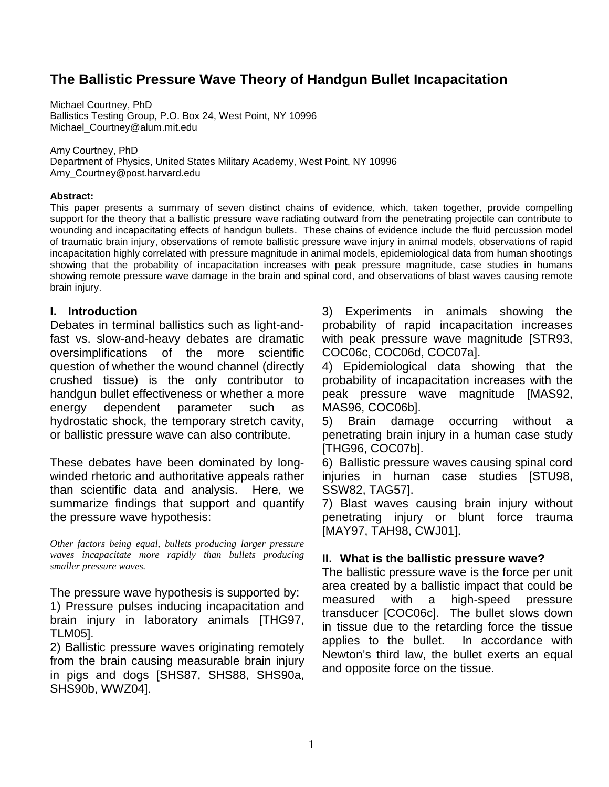# **The Ballistic Pressure Wave Theory of Handgun Bullet Incapacitation**

Michael Courtney, PhD Ballistics Testing Group, P.O. Box 24, West Point, NY 10996 Michael\_Courtney@alum.mit.edu

Amy Courtney, PhD Department of Physics, United States Military Academy, West Point, NY 10996 Amy\_Courtney@post.harvard.edu

#### **Abstract:**

This paper presents a summary of seven distinct chains of evidence, which, taken together, provide compelling support for the theory that a ballistic pressure wave radiating outward from the penetrating projectile can contribute to wounding and incapacitating effects of handgun bullets. These chains of evidence include the fluid percussion model of traumatic brain injury, observations of remote ballistic pressure wave injury in animal models, observations of rapid incapacitation highly correlated with pressure magnitude in animal models, epidemiological data from human shootings showing that the probability of incapacitation increases with peak pressure magnitude, case studies in humans showing remote pressure wave damage in the brain and spinal cord, and observations of blast waves causing remote brain injury.

## **I. Introduction**

Debates in terminal ballistics such as light-andfast vs. slow-and-heavy debates are dramatic oversimplifications of the more scientific question of whether the wound channel (directly crushed tissue) is the only contributor to handgun bullet effectiveness or whether a more energy dependent parameter such as hydrostatic shock, the temporary stretch cavity, or ballistic pressure wave can also contribute.

These debates have been dominated by longwinded rhetoric and authoritative appeals rather than scientific data and analysis. Here, we summarize findings that support and quantify the pressure wave hypothesis:

*Other factors being equal, bullets producing larger pressure waves incapacitate more rapidly than bullets producing smaller pressure waves.*

The pressure wave hypothesis is supported by: 1) Pressure pulses inducing incapacitation and brain injury in laboratory animals [THG97, TLM05].

2) Ballistic pressure waves originating remotely from the brain causing measurable brain injury in pigs and dogs [SHS87, SHS88, SHS90a, SHS90b, WWZ04].

3) Experiments in animals showing the probability of rapid incapacitation increases with peak pressure wave magnitude [STR93, COC06c, COC06d, COC07a].

4) Epidemiological data showing that the probability of incapacitation increases with the peak pressure wave magnitude [MAS92, MAS96, COC06b].

5) Brain damage occurring without a penetrating brain injury in a human case study [THG96, COC07b].

6) Ballistic pressure waves causing spinal cord injuries in human case studies [STU98, SSW82, TAG57].

7) Blast waves causing brain injury without penetrating injury or blunt force trauma [MAY97, TAH98, CWJ01].

#### **II. What is the ballistic pressure wave?**

The ballistic pressure wave is the force per unit area created by a ballistic impact that could be measured with a high-speed pressure transducer [COC06c]. The bullet slows down in tissue due to the retarding force the tissue applies to the bullet. In accordance with Newton's third law, the bullet exerts an equal and opposite force on the tissue.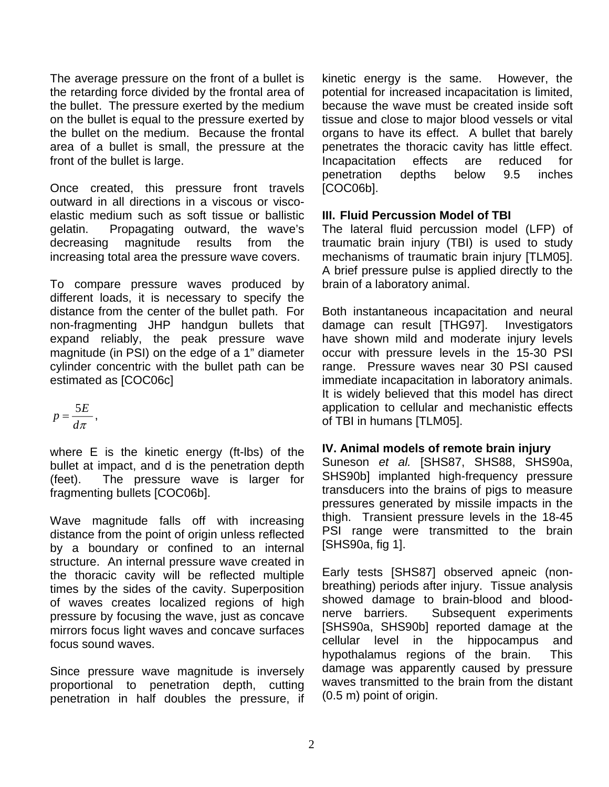The average pressure on the front of a bullet is the retarding force divided by the frontal area of the bullet. The pressure exerted by the medium on the bullet is equal to the pressure exerted by the bullet on the medium. Because the frontal area of a bullet is small, the pressure at the front of the bullet is large.

Once created, this pressure front travels outward in all directions in a viscous or viscoelastic medium such as soft tissue or ballistic gelatin. Propagating outward, the wave's decreasing magnitude results from the increasing total area the pressure wave covers.

To compare pressure waves produced by different loads, it is necessary to specify the distance from the center of the bullet path. For non-fragmenting JHP handgun bullets that expand reliably, the peak pressure wave magnitude (in PSI) on the edge of a 1" diameter cylinder concentric with the bullet path can be estimated as [COC06c]

$$
p=\frac{5E}{d\pi}\,,
$$

where E is the kinetic energy (ft-lbs) of the bullet at impact, and d is the penetration depth (feet). The pressure wave is larger for fragmenting bullets [COC06b].

Wave magnitude falls off with increasing distance from the point of origin unless reflected by a boundary or confined to an internal structure. An internal pressure wave created in the thoracic cavity will be reflected multiple times by the sides of the cavity. Superposition of waves creates localized regions of high pressure by focusing the wave, just as concave mirrors focus light waves and concave surfaces focus sound waves.

Since pressure wave magnitude is inversely proportional to penetration depth, cutting penetration in half doubles the pressure, if

kinetic energy is the same. However, the potential for increased incapacitation is limited, because the wave must be created inside soft tissue and close to major blood vessels or vital organs to have its effect. A bullet that barely penetrates the thoracic cavity has little effect. Incapacitation effects are reduced for penetration depths below 9.5 inches [COC06b].

## **III. Fluid Percussion Model of TBI**

The lateral fluid percussion model (LFP) of traumatic brain injury (TBI) is used to study mechanisms of traumatic brain injury [TLM05]. A brief pressure pulse is applied directly to the brain of a laboratory animal.

Both instantaneous incapacitation and neural damage can result [THG97]. Investigators have shown mild and moderate injury levels occur with pressure levels in the 15-30 PSI range. Pressure waves near 30 PSI caused immediate incapacitation in laboratory animals. It is widely believed that this model has direct application to cellular and mechanistic effects of TBI in humans [TLM05].

## **IV. Animal models of remote brain injury**

Suneson *et al.* [SHS87, SHS88, SHS90a, SHS90b] implanted high-frequency pressure transducers into the brains of pigs to measure pressures generated by missile impacts in the thigh. Transient pressure levels in the 18-45 PSI range were transmitted to the brain [SHS90a, fig 1].

Early tests [SHS87] observed apneic (nonbreathing) periods after injury. Tissue analysis showed damage to brain-blood and bloodnerve barriers. Subsequent experiments [SHS90a, SHS90b] reported damage at the cellular level in the hippocampus and hypothalamus regions of the brain. This damage was apparently caused by pressure waves transmitted to the brain from the distant (0.5 m) point of origin.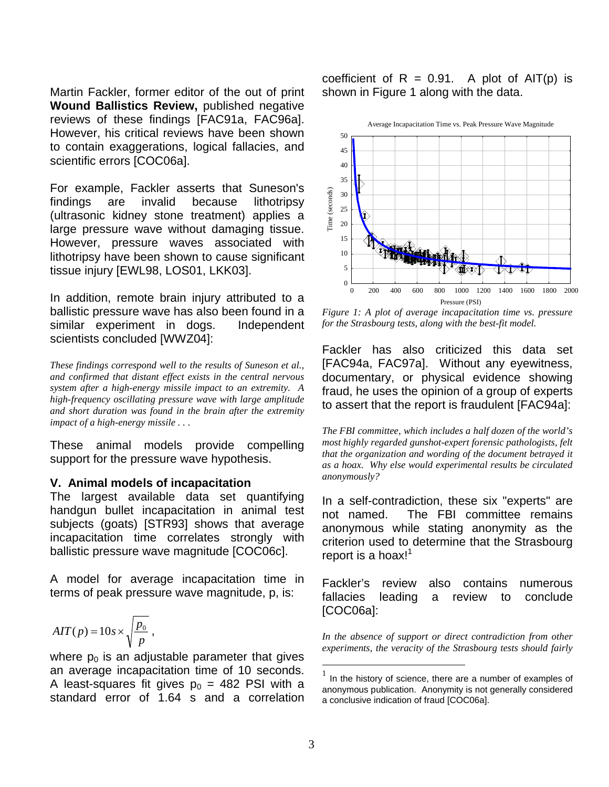Martin Fackler, former editor of the out of print **Wound Ballistics Review,** published negative reviews of these findings [FAC91a, FAC96a]. However, his critical reviews have been shown to contain exaggerations, logical fallacies, and scientific errors [COC06a].

For example, Fackler asserts that Suneson's findings are invalid because lithotripsy (ultrasonic kidney stone treatment) applies a large pressure wave without damaging tissue. However, pressure waves associated with lithotripsy have been shown to cause significant tissue injury [EWL98, LOS01, LKK03].

In addition, remote brain injury attributed to a ballistic pressure wave has also been found in a similar experiment in dogs. Independent scientists concluded [WWZ04]:

*These findings correspond well to the results of Suneson et al., and confirmed that distant effect exists in the central nervous system after a high-energy missile impact to an extremity. A high-frequency oscillating pressure wave with large amplitude and short duration was found in the brain after the extremity impact of a high-energy missile . . .* 

These animal models provide compelling support for the pressure wave hypothesis.

#### **V. Animal models of incapacitation**

The largest available data set quantifying handgun bullet incapacitation in animal test subjects (goats) [STR93] shows that average incapacitation time correlates strongly with ballistic pressure wave magnitude [COC06c].

A model for average incapacitation time in terms of peak pressure wave magnitude, p, is:

$$
AIT(p) = 10s \times \sqrt{\frac{p_0}{p}},
$$

where  $p_0$  is an adjustable parameter that gives an average incapacitation time of 10 seconds. A least-squares fit gives  $p_0 = 482$  PSI with a standard error of 1.64 s and a correlation

coefficient of  $R = 0.91$ . A plot of AIT(p) is shown in Figure 1 along with the data.



*Figure 1: A plot of average incapacitation time vs. pressure for the Strasbourg tests, along with the best-fit model.*

Fackler has also criticized this data set [FAC94a, FAC97a]. Without any eyewitness, documentary, or physical evidence showing fraud, he uses the opinion of a group of experts to assert that the report is fraudulent [FAC94a]:

*The FBI committee, which includes a half dozen of the world's most highly regarded gunshot-expert forensic pathologists, felt that the organization and wording of the document betrayed it as a hoax. Why else would experimental results be circulated anonymously?*

In a self-contradiction, these six "experts" are not named. The FBI committee remains anonymous while stating anonymity as the criterion used to determine that the Strasbourg report is a hoax!<sup>1</sup>

Fackler's review also contains numerous fallacies leading a review to conclude [COC06a]:

*In the absence of support or direct contradiction from other experiments, the veracity of the Strasbourg tests should fairly* 

 $\overline{a}$ 

 $1$  In the history of science, there are a number of examples of anonymous publication. Anonymity is not generally considered a conclusive indication of fraud [COC06a].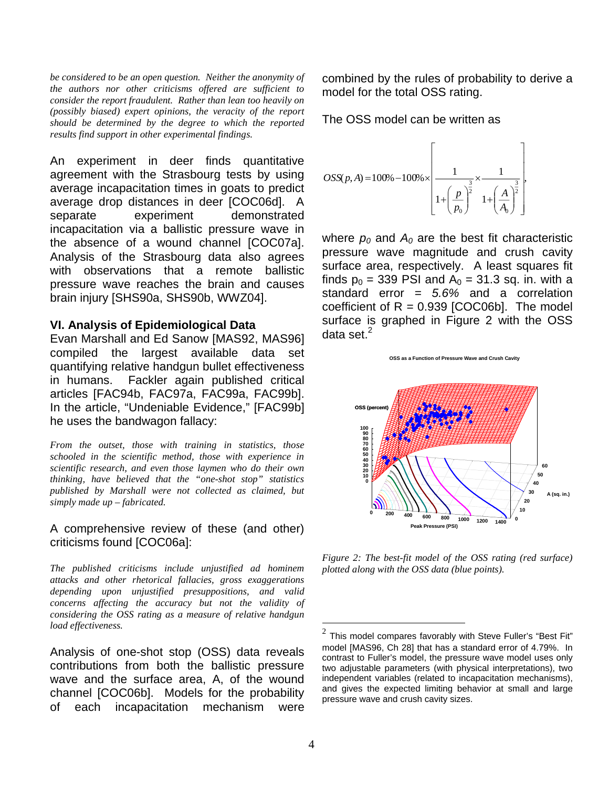*be considered to be an open question. Neither the anonymity of the authors nor other criticisms offered are sufficient to consider the report fraudulent. Rather than lean too heavily on (possibly biased) expert opinions, the veracity of the report should be determined by the degree to which the reported results find support in other experimental findings.*

An experiment in deer finds quantitative agreement with the Strasbourg tests by using average incapacitation times in goats to predict average drop distances in deer [COC06d]. A separate experiment demonstrated incapacitation via a ballistic pressure wave in the absence of a wound channel [COC07a]. Analysis of the Strasbourg data also agrees with observations that a remote ballistic pressure wave reaches the brain and causes brain injury [SHS90a, SHS90b, WWZ04].

#### **VI. Analysis of Epidemiological Data**

Evan Marshall and Ed Sanow [MAS92, MAS96] compiled the largest available data set quantifying relative handgun bullet effectiveness in humans. Fackler again published critical articles [FAC94b, FAC97a, FAC99a, FAC99b]. In the article, "Undeniable Evidence," [FAC99b] he uses the bandwagon fallacy:

*From the outset, those with training in statistics, those schooled in the scientific method, those with experience in scientific research, and even those laymen who do their own thinking, have believed that the "one-shot stop" statistics published by Marshall were not collected as claimed, but simply made up – fabricated.*

A comprehensive review of these (and other) criticisms found [COC06a]:

*The published criticisms include unjustified ad hominem attacks and other rhetorical fallacies, gross exaggerations depending upon unjustified presuppositions, and valid concerns affecting the accuracy but not the validity of considering the OSS rating as a measure of relative handgun load effectiveness.*

Analysis of one-shot stop (OSS) data reveals contributions from both the ballistic pressure wave and the surface area, A, of the wound channel [COC06b]. Models for the probability of each incapacitation mechanism were combined by the rules of probability to derive a model for the total OSS rating.

The OSS model can be written as

$$
OSS(p, A) = 100\% - 100\% \times \left[ \frac{1}{1 + \left(\frac{p}{p_0}\right)^{\frac{3}{2}} \times \frac{1}{1 + \left(\frac{A}{A_0}\right)^{\frac{3}{2}}}} \right]
$$

where  $p_0$  and  $A_0$  are the best fit characteristic pressure wave magnitude and crush cavity surface area, respectively. A least squares fit finds  $p_0 = 339$  PSI and  $A_0 = 31.3$  sq. in. with a standard error = *5.6%* and a correlation coefficient of  $R = 0.939$  [COC06b]. The model surface is graphed in Figure 2 with the OSS data set. $2$ 

**OSS as a Function of Pressure Wave and Crush Cavity**



*Figure 2: The best-fit model of the OSS rating (red surface) plotted along with the OSS data (blue points).*

 $\overline{a}$ 

<sup>2</sup> This model compares favorably with Steve Fuller's "Best Fit" model [MAS96, Ch 28] that has a standard error of 4.79%. In contrast to Fuller's model, the pressure wave model uses only two adjustable parameters (with physical interpretations), two independent variables (related to incapacitation mechanisms), and gives the expected limiting behavior at small and large pressure wave and crush cavity sizes.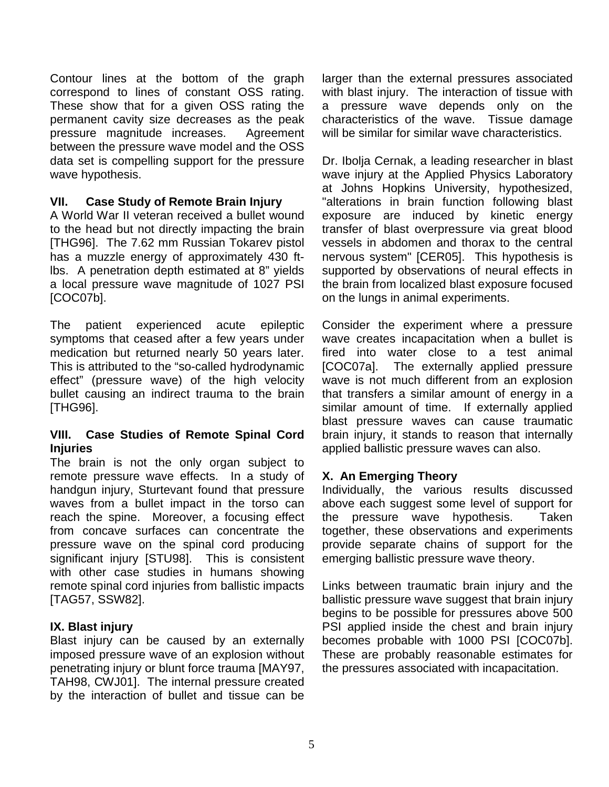Contour lines at the bottom of the graph correspond to lines of constant OSS rating. These show that for a given OSS rating the permanent cavity size decreases as the peak pressure magnitude increases. Agreement between the pressure wave model and the OSS data set is compelling support for the pressure wave hypothesis.

## **VII. Case Study of Remote Brain Injury**

A World War II veteran received a bullet wound to the head but not directly impacting the brain [THG96]. The 7.62 mm Russian Tokarev pistol has a muzzle energy of approximately 430 ftlbs. A penetration depth estimated at 8" yields a local pressure wave magnitude of 1027 PSI [COC07b].

The patient experienced acute epileptic symptoms that ceased after a few years under medication but returned nearly 50 years later. This is attributed to the "so-called hydrodynamic effect" (pressure wave) of the high velocity bullet causing an indirect trauma to the brain [THG96].

## **VIII. Case Studies of Remote Spinal Cord Injuries**

The brain is not the only organ subject to remote pressure wave effects. In a study of handgun injury, Sturtevant found that pressure waves from a bullet impact in the torso can reach the spine. Moreover, a focusing effect from concave surfaces can concentrate the pressure wave on the spinal cord producing significant injury [STU98]. This is consistent with other case studies in humans showing remote spinal cord injuries from ballistic impacts [TAG57, SSW82].

## **IX. Blast injury**

Blast injury can be caused by an externally imposed pressure wave of an explosion without penetrating injury or blunt force trauma [MAY97, TAH98, CWJ01]. The internal pressure created by the interaction of bullet and tissue can be

larger than the external pressures associated with blast injury. The interaction of tissue with a pressure wave depends only on the characteristics of the wave. Tissue damage will be similar for similar wave characteristics.

Dr. Ibolja Cernak, a leading researcher in blast wave injury at the Applied Physics Laboratory at Johns Hopkins University, hypothesized, "alterations in brain function following blast exposure are induced by kinetic energy transfer of blast overpressure via great blood vessels in abdomen and thorax to the central nervous system" [CER05]. This hypothesis is supported by observations of neural effects in the brain from localized blast exposure focused on the lungs in animal experiments.

Consider the experiment where a pressure wave creates incapacitation when a bullet is fired into water close to a test animal [COC07a]. The externally applied pressure wave is not much different from an explosion that transfers a similar amount of energy in a similar amount of time. If externally applied blast pressure waves can cause traumatic brain injury, it stands to reason that internally applied ballistic pressure waves can also.

## **X. An Emerging Theory**

Individually, the various results discussed above each suggest some level of support for the pressure wave hypothesis. Taken together, these observations and experiments provide separate chains of support for the emerging ballistic pressure wave theory.

Links between traumatic brain injury and the ballistic pressure wave suggest that brain injury begins to be possible for pressures above 500 PSI applied inside the chest and brain injury becomes probable with 1000 PSI [COC07b]. These are probably reasonable estimates for the pressures associated with incapacitation.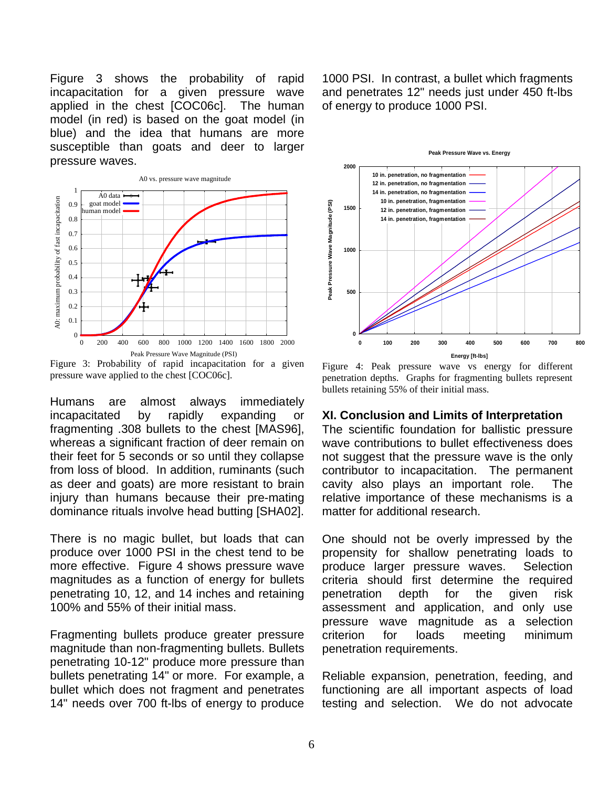Figure 3 shows the probability of rapid incapacitation for a given pressure wave applied in the chest [COC06c]. The human model (in red) is based on the goat model (in blue) and the idea that humans are more susceptible than goats and deer to larger pressure waves.



Figure 3: Probability of rapid incapacitation for a given pressure wave applied to the chest [COC06c].

Humans are almost always immediately incapacitated by rapidly expanding or fragmenting .308 bullets to the chest [MAS96], whereas a significant fraction of deer remain on their feet for 5 seconds or so until they collapse from loss of blood. In addition, ruminants (such as deer and goats) are more resistant to brain injury than humans because their pre-mating dominance rituals involve head butting [SHA02].

There is no magic bullet, but loads that can produce over 1000 PSI in the chest tend to be more effective. Figure 4 shows pressure wave magnitudes as a function of energy for bullets penetrating 10, 12, and 14 inches and retaining 100% and 55% of their initial mass.

Fragmenting bullets produce greater pressure magnitude than non-fragmenting bullets. Bullets penetrating 10-12" produce more pressure than bullets penetrating 14" or more. For example, a bullet which does not fragment and penetrates 14" needs over 700 ft-lbs of energy to produce

1000 PSI. In contrast, a bullet which fragments and penetrates 12" needs just under 450 ft-lbs of energy to produce 1000 PSI.



Figure 4: Peak pressure wave vs energy for different penetration depths. Graphs for fragmenting bullets represent bullets retaining 55% of their initial mass.

#### **XI. Conclusion and Limits of Interpretation**

The scientific foundation for ballistic pressure wave contributions to bullet effectiveness does not suggest that the pressure wave is the only contributor to incapacitation. The permanent cavity also plays an important role. The relative importance of these mechanisms is a matter for additional research.

One should not be overly impressed by the propensity for shallow penetrating loads to produce larger pressure waves. Selection criteria should first determine the required penetration depth for the given risk assessment and application, and only use pressure wave magnitude as a selection criterion for loads meeting minimum penetration requirements.

Reliable expansion, penetration, feeding, and functioning are all important aspects of load testing and selection. We do not advocate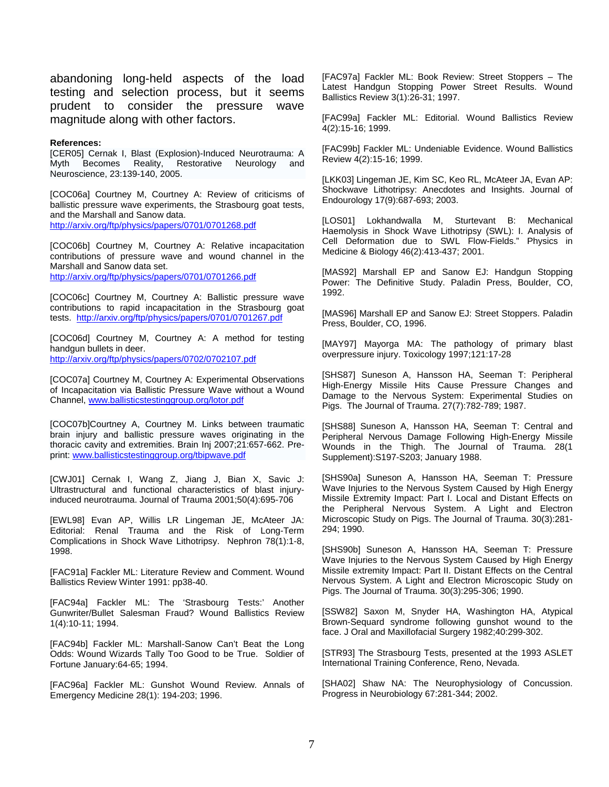abandoning long-held aspects of the load testing and selection process, but it seems prudent to consider the pressure wave magnitude along with other factors.

#### **References:**

[CER05] Cernak I, Blast (Explosion)-Induced Neurotrauma: A Myth Becomes Reality, Restorative Neurology and Neuroscience, 23:139-140, 2005.

[COC06a] Courtney M, Courtney A: Review of criticisms of ballistic pressure wave experiments, the Strasbourg goat tests, and the Marshall and Sanow data. http://arxiv.org/ftp/physics/papers/0701/0701268.pdf

[COC06b] Courtney M, Courtney A: Relative incapacitation contributions of pressure wave and wound channel in the Marshall and Sanow data set. http://arxiv.org/ftp/physics/papers/0701/0701266.pdf

[COC06c] Courtney M, Courtney A: Ballistic pressure wave contributions to rapid incapacitation in the Strasbourg goat tests. http://arxiv.org/ftp/physics/papers/0701/0701267.pdf

[COC06d] Courtney M, Courtney A: A method for testing handgun bullets in deer. http://arxiv.org/ftp/physics/papers/0702/0702107.pdf

[COC07a] Courtney M, Courtney A: Experimental Observations of Incapacitation via Ballistic Pressure Wave without a Wound Channel, www.ballisticstestinggroup.org/lotor.pdf

[COC07b]Courtney A, Courtney M. Links between traumatic brain injury and ballistic pressure waves originating in the thoracic cavity and extremities. Brain Inj 2007;21:657-662. Preprint: www.ballisticstestinggroup.org/tbipwave.pdf

[CWJ01] Cernak I, Wang Z, Jiang J, Bian X, Savic J: Ultrastructural and functional characteristics of blast injuryinduced neurotrauma. Journal of Trauma 2001;50(4):695-706

[EWL98] Evan AP, Willis LR Lingeman JE, McAteer JA: Editorial: Renal Trauma and the Risk of Long-Term Complications in Shock Wave Lithotripsy. Nephron 78(1):1-8, 1998.

[FAC91a] Fackler ML: Literature Review and Comment. Wound Ballistics Review Winter 1991: pp38-40.

[FAC94a] Fackler ML: The 'Strasbourg Tests:' Another Gunwriter/Bullet Salesman Fraud? Wound Ballistics Review 1(4):10-11; 1994.

[FAC94b] Fackler ML: Marshall-Sanow Can't Beat the Long Odds: Wound Wizards Tally Too Good to be True. Soldier of Fortune January:64-65; 1994.

[FAC96a] Fackler ML: Gunshot Wound Review. Annals of Emergency Medicine 28(1): 194-203; 1996.

[FAC97a] Fackler ML: Book Review: Street Stoppers – The Latest Handgun Stopping Power Street Results. Wound Ballistics Review 3(1):26-31; 1997.

[FAC99a] Fackler ML: Editorial. Wound Ballistics Review 4(2):15-16; 1999.

[FAC99b] Fackler ML: Undeniable Evidence. Wound Ballistics Review 4(2):15-16; 1999.

[LKK03] Lingeman JE, Kim SC, Keo RL, McAteer JA, Evan AP: Shockwave Lithotripsy: Anecdotes and Insights. Journal of Endourology 17(9):687-693; 2003.

[LOS01] Lokhandwalla M, Sturtevant B: Mechanical Haemolysis in Shock Wave Lithotripsy (SWL): I. Analysis of Cell Deformation due to SWL Flow-Fields." Physics in Medicine & Biology 46(2):413-437; 2001.

[MAS92] Marshall EP and Sanow EJ: Handgun Stopping Power: The Definitive Study. Paladin Press, Boulder, CO, 1992.

[MAS96] Marshall EP and Sanow EJ: Street Stoppers. Paladin Press, Boulder, CO, 1996.

[MAY97] Mayorga MA: The pathology of primary blast overpressure injury. Toxicology 1997;121:17-28

[SHS87] Suneson A, Hansson HA, Seeman T: Peripheral High-Energy Missile Hits Cause Pressure Changes and Damage to the Nervous System: Experimental Studies on Pigs. The Journal of Trauma. 27(7):782-789; 1987.

[SHS88] Suneson A, Hansson HA, Seeman T: Central and Peripheral Nervous Damage Following High-Energy Missile Wounds in the Thigh. The Journal of Trauma. 28(1 Supplement):S197-S203; January 1988.

[SHS90a] Suneson A, Hansson HA, Seeman T: Pressure Wave Injuries to the Nervous System Caused by High Energy Missile Extremity Impact: Part I. Local and Distant Effects on the Peripheral Nervous System. A Light and Electron Microscopic Study on Pigs. The Journal of Trauma. 30(3):281- 294; 1990.

[SHS90b] Suneson A, Hansson HA, Seeman T: Pressure Wave Injuries to the Nervous System Caused by High Energy Missile extremity Impact: Part II. Distant Effects on the Central Nervous System. A Light and Electron Microscopic Study on Pigs. The Journal of Trauma. 30(3):295-306; 1990.

[SSW82] Saxon M, Snyder HA, Washington HA, Atypical Brown-Sequard syndrome following gunshot wound to the face. J Oral and Maxillofacial Surgery 1982;40:299-302.

[STR93] The Strasbourg Tests, presented at the 1993 ASLET International Training Conference, Reno, Nevada.

[SHA02] Shaw NA: The Neurophysiology of Concussion. Progress in Neurobiology 67:281-344; 2002.